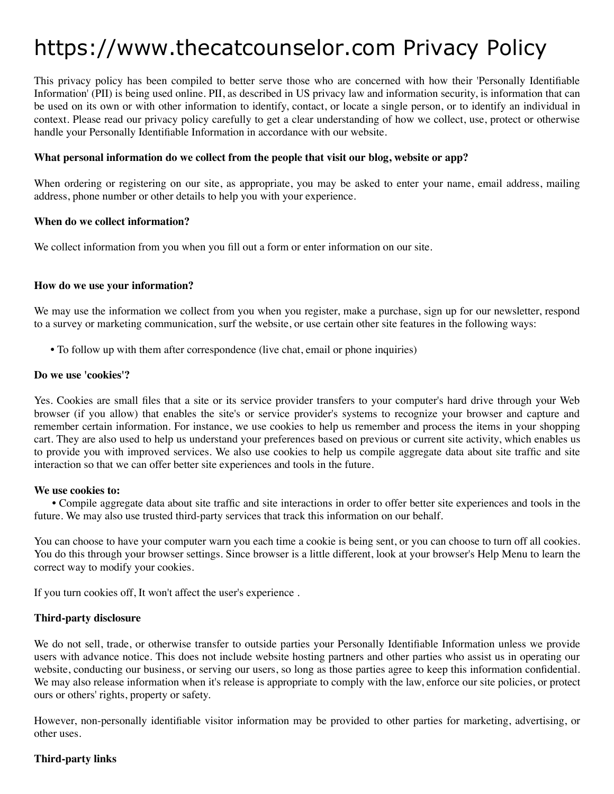# https://www.thecatcounselor.com Privacy Policy

This privacy policy has been compiled to better serve those who are concerned with how their 'Personally Identifiable Information' (PII) is being used online. PII, as described in US privacy law and information security, is information that can be used on its own or with other information to identify, contact, or locate a single person, or to identify an individual in context. Please read our privacy policy carefully to get a clear understanding of how we collect, use, protect or otherwise handle your Personally Identifiable Information in accordance with our website.

## **What personal information do we collect from the people that visit our blog, website or app?**

When ordering or registering on our site, as appropriate, you may be asked to enter your name, email address, mailing address, phone number or other details to help you with your experience.

#### **When do we collect information?**

We collect information from you when you fill out a form or enter information on our site.

#### **How do we use your information?**

We may use the information we collect from you when you register, make a purchase, sign up for our newsletter, respond to a survey or marketing communication, surf the website, or use certain other site features in the following ways:

**•** To follow up with them after correspondence (live chat, email or phone inquiries)

#### **Do we use 'cookies'?**

Yes. Cookies are small files that a site or its service provider transfers to your computer's hard drive through your Web browser (if you allow) that enables the site's or service provider's systems to recognize your browser and capture and remember certain information. For instance, we use cookies to help us remember and process the items in your shopping cart. They are also used to help us understand your preferences based on previous or current site activity, which enables us to provide you with improved services. We also use cookies to help us compile aggregate data about site traffic and site interaction so that we can offer better site experiences and tools in the future.

#### **We use cookies to:**

**•** Compile aggregate data about site traffic and site interactions in order to offer better site experiences and tools in the future. We may also use trusted third-party services that track this information on our behalf.

You can choose to have your computer warn you each time a cookie is being sent, or you can choose to turn off all cookies. You do this through your browser settings. Since browser is a little different, look at your browser's Help Menu to learn the correct way to modify your cookies.

If you turn cookies off, It won't affect the user's experience .

## **Third-party disclosure**

We do not sell, trade, or otherwise transfer to outside parties your Personally Identifiable Information unless we provide users with advance notice. This does not include website hosting partners and other parties who assist us in operating our website, conducting our business, or serving our users, so long as those parties agree to keep this information confidential. We may also release information when it's release is appropriate to comply with the law, enforce our site policies, or protect ours or others' rights, property or safety.

However, non-personally identifiable visitor information may be provided to other parties for marketing, advertising, or other uses.

## **Third-party links**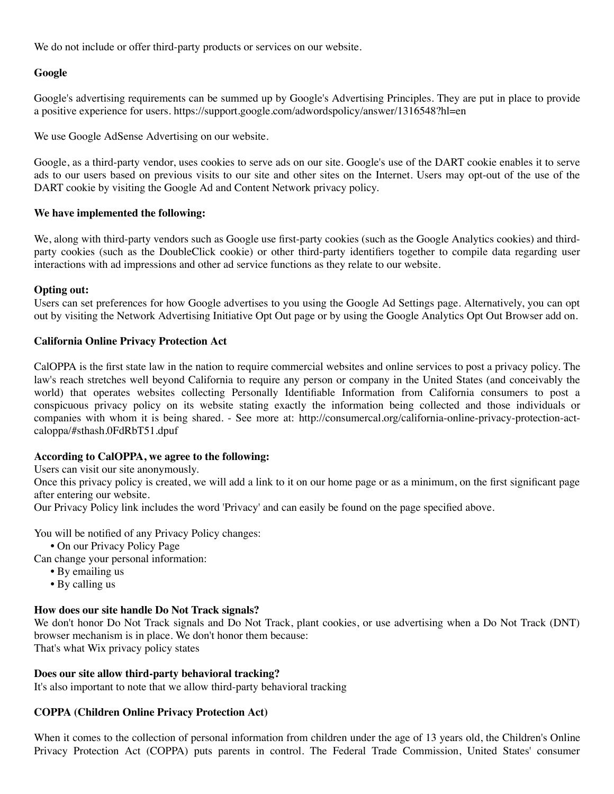We do not include or offer third-party products or services on our website.

# **Google**

Google's advertising requirements can be summed up by Google's Advertising Principles. They are put in place to provide a positive experience for users. https://support.google.com/adwordspolicy/answer/1316548?hl=en

We use Google AdSense Advertising on our website.

Google, as a third-party vendor, uses cookies to serve ads on our site. Google's use of the DART cookie enables it to serve ads to our users based on previous visits to our site and other sites on the Internet. Users may opt-out of the use of the DART cookie by visiting the Google Ad and Content Network privacy policy.

## **We have implemented the following:**

We, along with third-party vendors such as Google use first-party cookies (such as the Google Analytics cookies) and thirdparty cookies (such as the DoubleClick cookie) or other third-party identifiers together to compile data regarding user interactions with ad impressions and other ad service functions as they relate to our website.

# **Opting out:**

Users can set preferences for how Google advertises to you using the Google Ad Settings page. Alternatively, you can opt out by visiting the Network Advertising Initiative Opt Out page or by using the Google Analytics Opt Out Browser add on.

# **California Online Privacy Protection Act**

CalOPPA is the first state law in the nation to require commercial websites and online services to post a privacy policy. The law's reach stretches well beyond California to require any person or company in the United States (and conceivably the world) that operates websites collecting Personally Identifiable Information from California consumers to post a conspicuous privacy policy on its website stating exactly the information being collected and those individuals or companies with whom it is being shared. - See more at: http://consumercal.org/california-online-privacy-protection-actcaloppa/#sthash.0FdRbT51.dpuf

## **According to CalOPPA, we agree to the following:**

Users can visit our site anonymously.

Once this privacy policy is created, we will add a link to it on our home page or as a minimum, on the first significant page after entering our website.

Our Privacy Policy link includes the word 'Privacy' and can easily be found on the page specified above.

You will be notified of any Privacy Policy changes:

- **•** On our Privacy Policy Page
- Can change your personal information:
	- **•** By emailing us
	- **•** By calling us

## **How does our site handle Do Not Track signals?**

We don't honor Do Not Track signals and Do Not Track, plant cookies, or use advertising when a Do Not Track (DNT) browser mechanism is in place. We don't honor them because: That's what Wix privacy policy states

## **Does our site allow third-party behavioral tracking?**

It's also important to note that we allow third-party behavioral tracking

# **COPPA (Children Online Privacy Protection Act)**

When it comes to the collection of personal information from children under the age of 13 years old, the Children's Online Privacy Protection Act (COPPA) puts parents in control. The Federal Trade Commission, United States' consumer